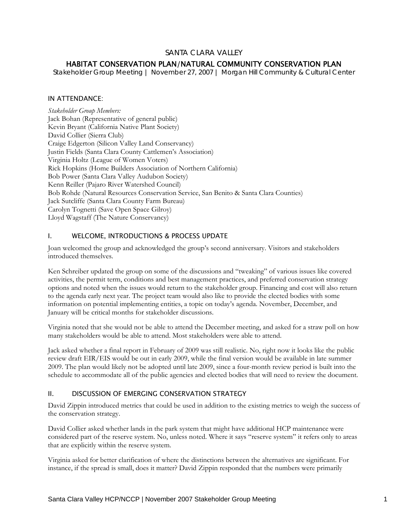# SANTA CLARA VALLEY

# HABITAT CONSERVATION PLAN/NATURAL COMMUNITY CONSERVATION PLAN

*Stakeholder Group Meeting | November 27, 2007 | Morgan Hill Community & Cultural Center* 

#### IN ATTENDANCE:

*Stakeholder Group Members:*  Jack Bohan (Representative of general public) Kevin Bryant (California Native Plant Society) David Collier (Sierra Club) Craige Edgerton (Silicon Valley Land Conservancy) Justin Fields (Santa Clara County Cattlemen's Association) Virginia Holtz (League of Women Voters) Rick Hopkins (Home Builders Association of Northern California) Bob Power (Santa Clara Valley Audubon Society) Kenn Reiller (Pajaro River Watershed Council) Bob Rohde (Natural Resources Conservation Service, San Benito & Santa Clara Counties) Jack Sutcliffe (Santa Clara County Farm Bureau) Carolyn Tognetti (Save Open Space Gilroy) Lloyd Wagstaff (The Nature Conservancy)

### I. WELCOME, INTRODUCTIONS & PROCESS UPDATE

Joan welcomed the group and acknowledged the group's second anniversary. Visitors and stakeholders introduced themselves.

Ken Schreiber updated the group on some of the discussions and "tweaking" of various issues like covered activities, the permit term, conditions and best management practices, and preferred conservation strategy options and noted when the issues would return to the stakeholder group. Financing and cost will also return to the agenda early next year. The project team would also like to provide the elected bodies with some information on potential implementing entities, a topic on today's agenda. November, December, and January will be critical months for stakeholder discussions.

Virginia noted that she would not be able to attend the December meeting, and asked for a straw poll on how many stakeholders would be able to attend. Most stakeholders were able to attend.

Jack asked whether a final report in February of 2009 was still realistic. No, right now it looks like the public review draft EIR/EIS would be out in early 2009, while the final version would be available in late summer 2009. The plan would likely not be adopted until late 2009, since a four-month review period is built into the schedule to accommodate all of the public agencies and elected bodies that will need to review the document.

## II. DISCUSSION OF EMERGING CONSERVATION STRATEGY

David Zippin introduced metrics that could be used in addition to the existing metrics to weigh the success of the conservation strategy.

David Collier asked whether lands in the park system that might have additional HCP maintenance were considered part of the reserve system. No, unless noted. Where it says "reserve system" it refers only to areas that are explicitly within the reserve system.

Virginia asked for better clarification of where the distinctions between the alternatives are significant. For instance, if the spread is small, does it matter? David Zippin responded that the numbers were primarily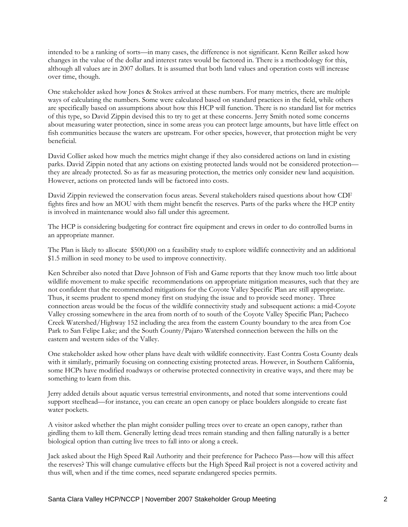intended to be a ranking of sorts—in many cases, the difference is not significant. Kenn Reiller asked how changes in the value of the dollar and interest rates would be factored in. There is a methodology for this, although all values are in 2007 dollars. It is assumed that both land values and operation costs will increase over time, though.

One stakeholder asked how Jones & Stokes arrived at these numbers. For many metrics, there are multiple ways of calculating the numbers. Some were calculated based on standard practices in the field, while others are specifically based on assumptions about how this HCP will function. There is no standard list for metrics of this type, so David Zippin devised this to try to get at these concerns. Jerry Smith noted some concerns about measuring water protection, since in some areas you can protect large amounts, but have little effect on fish communities because the waters are upstream. For other species, however, that protection might be very beneficial.

David Collier asked how much the metrics might change if they also considered actions on land in existing parks. David Zippin noted that any actions on existing protected lands would not be considered protection they are already protected. So as far as measuring protection, the metrics only consider new land acquisition. However, actions on protected lands will be factored into costs.

David Zippin reviewed the conservation focus areas. Several stakeholders raised questions about how CDF fights fires and how an MOU with them might benefit the reserves. Parts of the parks where the HCP entity is involved in maintenance would also fall under this agreement.

The HCP is considering budgeting for contract fire equipment and crews in order to do controlled burns in an appropriate manner.

The Plan is likely to allocate \$500,000 on a feasibility study to explore wildlife connectivity and an additional \$1.5 million in seed money to be used to improve connectivity.

Ken Schreiber also noted that Dave Johnson of Fish and Game reports that they know much too little about wildlife movement to make specific recommendations on appropriate mitigation measures, such that they are not confident that the recommended mitigations for the Coyote Valley Specific Plan are still appropriate. Thus, it seems prudent to spend money first on studying the issue and to provide seed money. Three connection areas would be the focus of the wildlife connectivity study and subsequent actions: a mid-Coyote Valley crossing somewhere in the area from north of to south of the Coyote Valley Specific Plan; Pacheco Creek Watershed/Highway 152 including the area from the eastern County boundary to the area from Coe Park to San Felipe Lake; and the South County/Pajaro Watershed connection between the hills on the eastern and western sides of the Valley.

One stakeholder asked how other plans have dealt with wildlife connectivity. East Contra Costa County deals with it similarly, primarily focusing on connecting existing protected areas. However, in Southern California, some HCPs have modified roadways or otherwise protected connectivity in creative ways, and there may be something to learn from this.

Jerry added details about aquatic versus terrestrial environments, and noted that some interventions could support steelhead—for instance, you can create an open canopy or place boulders alongside to create fast water pockets.

A visitor asked whether the plan might consider pulling trees over to create an open canopy, rather than girdling them to kill them. Generally letting dead trees remain standing and then falling naturally is a better biological option than cutting live trees to fall into or along a creek.

Jack asked about the High Speed Rail Authority and their preference for Pacheco Pass—how will this affect the reserves? This will change cumulative effects but the High Speed Rail project is not a covered activity and thus will, when and if the time comes, need separate endangered species permits.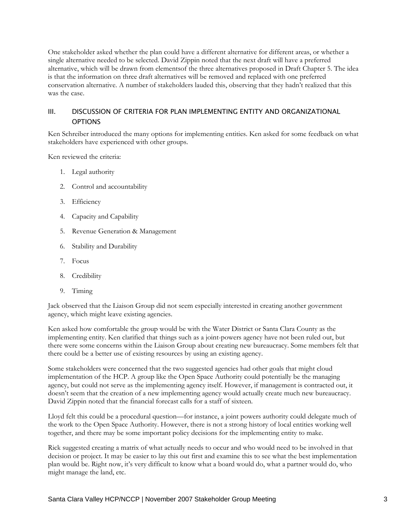One stakeholder asked whether the plan could have a different alternative for different areas, or whether a single alternative needed to be selected. David Zippin noted that the next draft will have a preferred alternative, which will be drawn from elementsof the three alternatives proposed in Draft Chapter 5. The idea is that the information on three draft alternatives will be removed and replaced with one preferred conservation alternative. A number of stakeholders lauded this, observing that they hadn't realized that this was the case.

## III. DISCUSSION OF CRITERIA FOR PLAN IMPLEMENTING ENTITY AND ORGANIZATIONAL OPTIONS

Ken Schreiber introduced the many options for implementing entities. Ken asked for some feedback on what stakeholders have experienced with other groups.

Ken reviewed the criteria:

- 1. Legal authority
- 2. Control and accountability
- 3. Efficiency
- 4. Capacity and Capability
- 5. Revenue Generation & Management
- 6. Stability and Durability
- 7. Focus
- 8. Credibility
- 9. Timing

Jack observed that the Liaison Group did not seem especially interested in creating another government agency, which might leave existing agencies.

Ken asked how comfortable the group would be with the Water District or Santa Clara County as the implementing entity. Ken clarified that things such as a joint-powers agency have not been ruled out, but there were some concerns within the Liaison Group about creating new bureaucracy. Some members felt that there could be a better use of existing resources by using an existing agency.

Some stakeholders were concerned that the two suggested agencies had other goals that might cloud implementation of the HCP. A group like the Open Space Authority could potentially be the managing agency, but could not serve as the implementing agency itself. However, if management is contracted out, it doesn't seem that the creation of a new implementing agency would actually create much new bureaucracy. David Zippin noted that the financial forecast calls for a staff of sixteen.

Lloyd felt this could be a procedural question—for instance, a joint powers authority could delegate much of the work to the Open Space Authority. However, there is not a strong history of local entities working well together, and there may be some important policy decisions for the implementing entity to make.

Rick suggested creating a matrix of what actually needs to occur and who would need to be involved in that decision or project. It may be easier to lay this out first and examine this to see what the best implementation plan would be. Right now, it's very difficult to know what a board would do, what a partner would do, who might manage the land, etc.